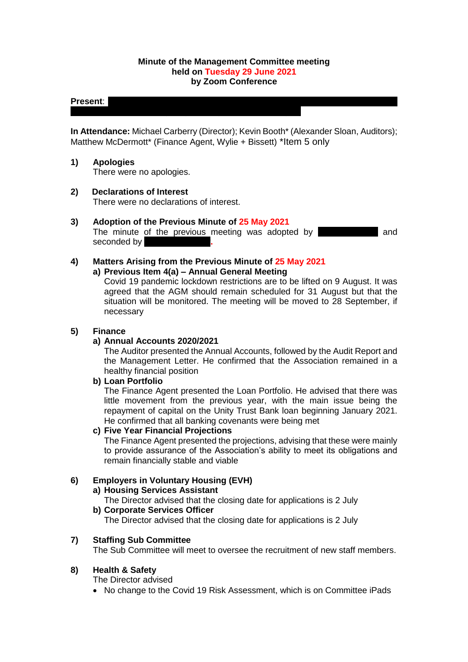### **Minute of the Management Committee meeting held on Tuesday 29 June 2021 by Zoom Conference**

### **Present:**  $\blacksquare$

**In Attendance:** Michael Carberry (Director); Kevin Booth\* (Alexander Sloan, Auditors); Matthew McDermott\* (Finance Agent, Wylie + Bissett) \*Item 5 only

### **1) Apologies**

There were no apologies.

**2) Declarations of Interest**

There were no declarations of interest.

# **3) Adoption of the Previous Minute of 25 May 2021**

The minute of the previous meeting was adopted by **Alternative and** and seconded by

#### **4) Matters Arising from the Previous Minute of 25 May 2021 a) Previous Item 4(a) – Annual General Meeting**

Covid 19 pandemic lockdown restrictions are to be lifted on 9 August. It was agreed that the AGM should remain scheduled for 31 August but that the situation will be monitored. The meeting will be moved to 28 September, if necessary

# **5) Finance**

#### **a) Annual Accounts 2020/2021**

The Auditor presented the Annual Accounts, followed by the Audit Report and the Management Letter. He confirmed that the Association remained in a healthy financial position

#### **b) Loan Portfolio**

The Finance Agent presented the Loan Portfolio. He advised that there was little movement from the previous year, with the main issue being the repayment of capital on the Unity Trust Bank loan beginning January 2021. He confirmed that all banking covenants were being met

# **c) Five Year Financial Projections**

The Finance Agent presented the projections, advising that these were mainly to provide assurance of the Association's ability to meet its obligations and remain financially stable and viable

# **6) Employers in Voluntary Housing (EVH)**

#### **a) Housing Services Assistant**

The Director advised that the closing date for applications is 2 July

# **b) Corporate Services Officer**

The Director advised that the closing date for applications is 2 July

# **7) Staffing Sub Committee**

The Sub Committee will meet to oversee the recruitment of new staff members.

# **8) Health & Safety**

The Director advised

• No change to the Covid 19 Risk Assessment, which is on Committee iPads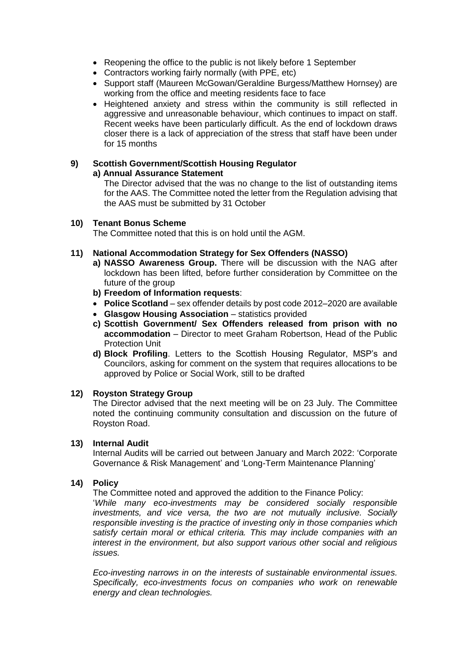- Reopening the office to the public is not likely before 1 September
- Contractors working fairly normally (with PPE, etc)
- Support staff (Maureen McGowan/Geraldine Burgess/Matthew Hornsey) are working from the office and meeting residents face to face
- Heightened anxiety and stress within the community is still reflected in aggressive and unreasonable behaviour, which continues to impact on staff. Recent weeks have been particularly difficult. As the end of lockdown draws closer there is a lack of appreciation of the stress that staff have been under for 15 months

#### **9) Scottish Government/Scottish Housing Regulator a) Annual Assurance Statement**

The Director advised that the was no change to the list of outstanding items for the AAS. The Committee noted the letter from the Regulation advising that the AAS must be submitted by 31 October

# **10) Tenant Bonus Scheme**

The Committee noted that this is on hold until the AGM.

# **11) National Accommodation Strategy for Sex Offenders (NASSO)**

- **a) NASSO Awareness Group.** There will be discussion with the NAG after lockdown has been lifted, before further consideration by Committee on the future of the group
- **b) Freedom of Information requests**:
- **Police Scotland** sex offender details by post code 2012–2020 are available
- **Glasgow Housing Association** statistics provided
- **c) Scottish Government/ Sex Offenders released from prison with no accommodation** – Director to meet Graham Robertson, Head of the Public Protection Unit
- **d) Block Profiling**. Letters to the Scottish Housing Regulator, MSP's and Councilors, asking for comment on the system that requires allocations to be approved by Police or Social Work, still to be drafted

#### **12) Royston Strategy Group**

The Director advised that the next meeting will be on 23 July. The Committee noted the continuing community consultation and discussion on the future of Royston Road.

#### **13) Internal Audit**

Internal Audits will be carried out between January and March 2022: 'Corporate Governance & Risk Management' and 'Long-Term Maintenance Planning'

# **14) Policy**

The Committee noted and approved the addition to the Finance Policy:

'*While many eco-investments may be considered socially responsible investments, and vice versa, the two are not mutually inclusive. Socially responsible investing is the practice of investing only in those companies which satisfy certain moral or ethical criteria. This may include companies with an interest in the environment, but also support various other social and religious issues.* 

*Eco-investing narrows in on the interests of sustainable environmental issues. Specifically, eco-investments focus on companies who work on renewable energy and clean technologies.*